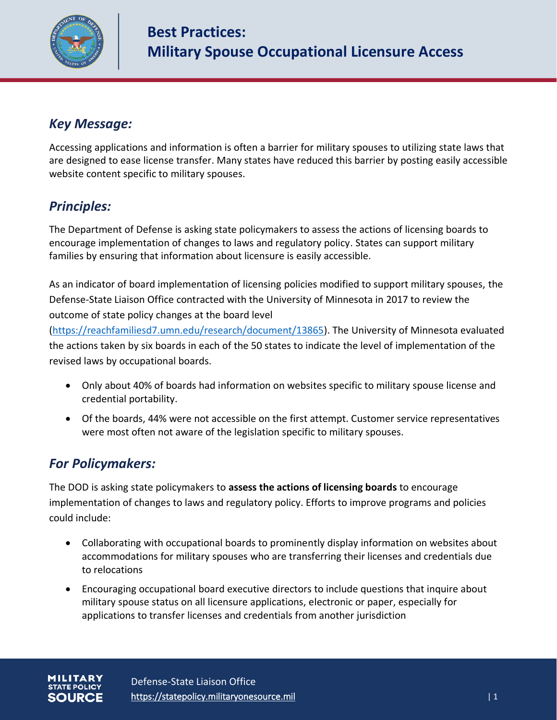

## *Key Message:*

Accessing applications and information is often a barrier for military spouses to utilizing state laws that are designed to ease license transfer. Many states have reduced this barrier by posting easily accessible website content specific to military spouses.

# *Principles:*

The Department of Defense is asking state policymakers to assess the actions of licensing boards to encourage implementation of changes to laws and regulatory policy. States can support military families by ensuring that information about licensure is easily accessible.

As an indicator of board implementation of licensing policies modified to support military spouses, the Defense-State Liaison Office contracted with the University of Minnesota in 2017 to review the outcome of state policy changes at the board level

[\(https://reachfamiliesd7.umn.edu/research/document/13865\)](https://reachfamiliesd7.umn.edu/research/document/13865). The University of Minnesota evaluated the actions taken by six boards in each of the 50 states to indicate the level of implementation of the revised laws by occupational boards.

- Only about 40% of boards had information on websites specific to military spouse license and credential portability.
- Of the boards, 44% were not accessible on the first attempt. Customer service representatives were most often not aware of the legislation specific to military spouses.

### *For Policymakers:*

The DOD is asking state policymakers to **assess the actions of licensing boards** to encourage implementation of changes to laws and regulatory policy. Efforts to improve programs and policies could include:

- Collaborating with occupational boards to prominently display information on websites about accommodations for military spouses who are transferring their licenses and credentials due to relocations
- Encouraging occupational board executive directors to include questions that inquire about military spouse status on all licensure applications, electronic or paper, especially for applications to transfer licenses and credentials from another jurisdiction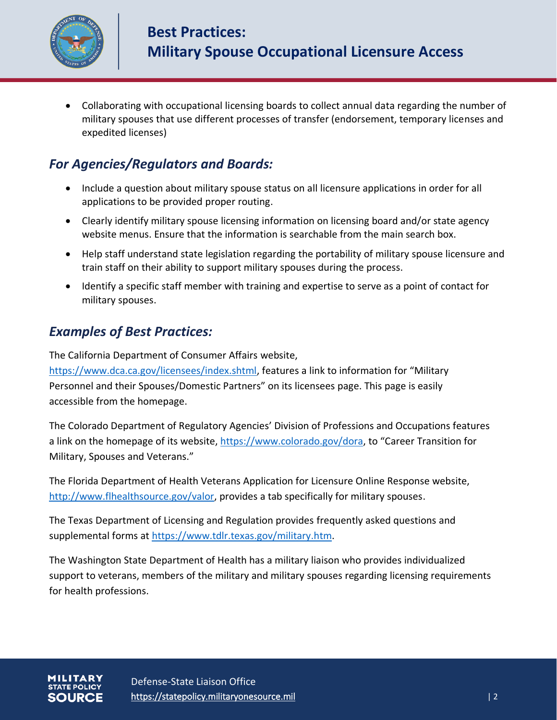

• Collaborating with occupational licensing boards to collect annual data regarding the number of military spouses that use different processes of transfer (endorsement, temporary licenses and expedited licenses)

### *For Agencies/Regulators and Boards:*

- Include a question about military spouse status on all licensure applications in order for all applications to be provided proper routing.
- Clearly identify military spouse licensing information on licensing board and/or state agency website menus. Ensure that the information is searchable from the main search box.
- Help staff understand state legislation regarding the portability of military spouse licensure and train staff on their ability to support military spouses during the process.
- Identify a specific staff member with training and expertise to serve as a point of contact for military spouses.

#### *Examples of Best Practices:*

The California Department of Consumer Affairs website,

[https://www.dca.ca.gov/licensees/index.shtml,](https://www.dca.ca.gov/licensees/index.shtml) features a link to information for "Military Personnel and their Spouses/Domestic Partners" on its licensees page. This page is easily accessible from the homepage.

The Colorado Department of Regulatory Agencies' Division of Professions and Occupations features a link on the homepage of its website,<https://www.colorado.gov/dora>, to "Career Transition for Military, Spouses and Veterans."

The Florida Department of Health Veterans Application for Licensure Online Response website, [http://www.flhealthsource.gov/valor,](http://www.flhealthsource.gov/valor) provides a tab specifically for military spouses.

The Texas Department of Licensing and Regulation provides frequently asked questions and supplemental forms at [https://www.tdlr.texas.gov/military.htm.](https://www.tdlr.texas.gov/military.htm)

The Washington State Department of Health has a military liaison who provides individualized support to veterans, members of the military and military spouses regarding licensing requirements for health professions.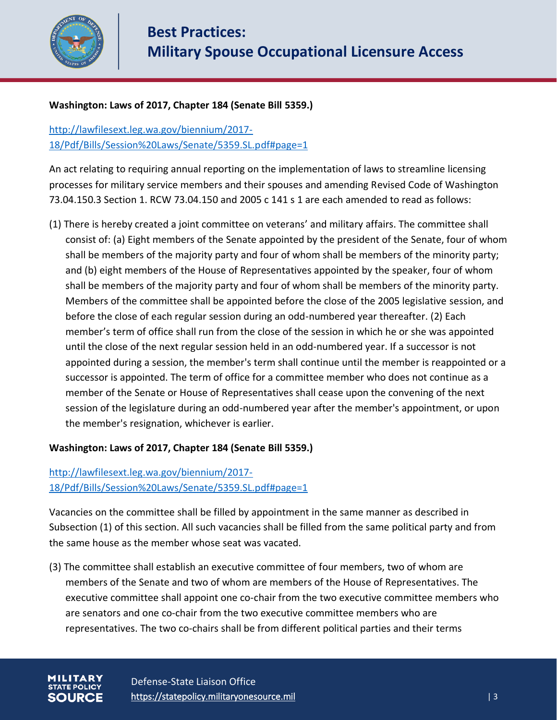

#### **Washington: Laws of 2017, Chapter 184 (Senate Bill 5359.)**

[http://lawfilesext.leg.wa.gov/biennium/2017-](http://lawfilesext.leg.wa.gov/biennium/2017-18/Pdf/Bills/Session%20Laws/Senate/5359.SL.pdf#page=1) 18/Pdf/Bills/Session%20Laws/Senate/5359.SL.pdf#page=1

An act relating to requiring annual reporting on the implementation of laws to streamline licensing processes for military service members and their spouses and amending Revised Code of Washington 73.04.150.3 Section 1. RCW 73.04.150 and 2005 c 141 s 1 are each amended to read as follows:

(1) There is hereby created a joint committee on veterans' and military affairs. The committee shall consist of: (a) Eight members of the Senate appointed by the president of the Senate, four of whom shall be members of the majority party and four of whom shall be members of the minority party; and (b) eight members of the House of Representatives appointed by the speaker, four of whom shall be members of the majority party and four of whom shall be members of the minority party. Members of the committee shall be appointed before the close of the 2005 legislative session, and before the close of each regular session during an odd-numbered year thereafter. (2) Each member's term of office shall run from the close of the session in which he or she was appointed until the close of the next regular session held in an odd-numbered year. If a successor is not appointed during a session, the member's term shall continue until the member is reappointed or a successor is appointed. The term of office for a committee member who does not continue as a member of the Senate or House of Representatives shall cease upon the convening of the next session of the legislature during an odd-numbered year after the member's appointment, or upon the member's resignation, whichever is earlier.

#### **Washington: Laws of 2017, Chapter 184 (Senate Bill 5359.)**

#### [http://lawfilesext.leg.wa.gov/biennium/2017-](http://lawfilesext.leg.wa.gov/biennium/2017-18/Pdf/Bills/Session%20Laws/Senate/5359.SL.pdf#page=1) 18/Pdf/Bills/Session%20Laws/Senate/5359.SL.pdf#page=1

Vacancies on the committee shall be filled by appointment in the same manner as described in Subsection (1) of this section. All such vacancies shall be filled from the same political party and from the same house as the member whose seat was vacated.

(3) The committee shall establish an executive committee of four members, two of whom are members of the Senate and two of whom are members of the House of Representatives. The executive committee shall appoint one co-chair from the two executive committee members who are senators and one co-chair from the two executive committee members who are representatives. The two co-chairs shall be from different political parties and their terms

Defense-State Liaison Office https://statepolicy.militaryonesource.mil is a set of the set of the set of the set of the set of the set of t